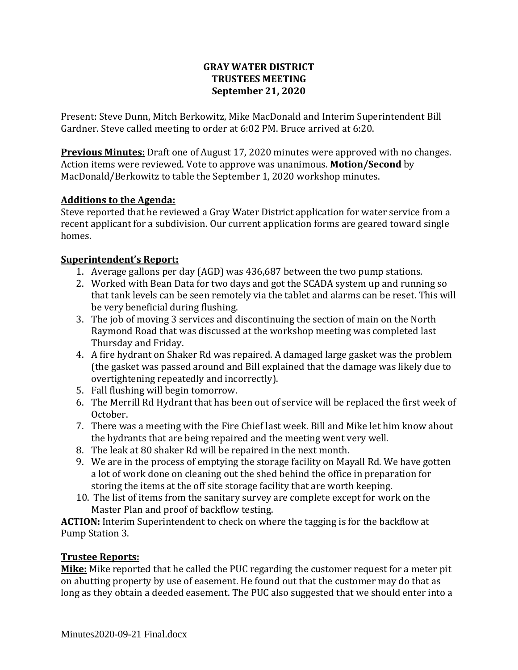#### **GRAY WATER DISTRICT TRUSTEES MEETING September 21, 2020**

Present: Steve Dunn, Mitch Berkowitz, Mike MacDonald and Interim Superintendent Bill Gardner. Steve called meeting to order at 6:02 PM. Bruce arrived at 6:20.

**Previous Minutes:** Draft one of August 17, 2020 minutes were approved with no changes. Action items were reviewed. Vote to approve was unanimous. **Motion/Second** by MacDonald/Berkowitz to table the September 1, 2020 workshop minutes.

#### **Additions to the Agenda:**

Steve reported that he reviewed a Gray Water District application for water service from a recent applicant for a subdivision. Our current application forms are geared toward single homes.

#### **Superintendent's Report:**

- 1. Average gallons per day (AGD) was 436,687 between the two pump stations.
- 2. Worked with Bean Data for two days and got the SCADA system up and running so that tank levels can be seen remotely via the tablet and alarms can be reset. This will be very beneficial during flushing.
- 3. The job of moving 3 services and discontinuing the section of main on the North Raymond Road that was discussed at the workshop meeting was completed last Thursday and Friday.
- 4. A fire hydrant on Shaker Rd was repaired. A damaged large gasket was the problem (the gasket was passed around and Bill explained that the damage was likely due to overtightening repeatedly and incorrectly).
- 5. Fall flushing will begin tomorrow.
- 6. The Merrill Rd Hydrant that has been out of service will be replaced the first week of October.
- 7. There was a meeting with the Fire Chief last week. Bill and Mike let him know about the hydrants that are being repaired and the meeting went very well.
- 8. The leak at 80 shaker Rd will be repaired in the next month.
- 9. We are in the process of emptying the storage facility on Mayall Rd. We have gotten a lot of work done on cleaning out the shed behind the office in preparation for storing the items at the off site storage facility that are worth keeping.
- 10. The list of items from the sanitary survey are complete except for work on the Master Plan and proof of backflow testing.

**ACTION:** Interim Superintendent to check on where the tagging is for the backflow at Pump Station 3.

#### **Trustee Reports:**

**Mike:** Mike reported that he called the PUC regarding the customer request for a meter pit on abutting property by use of easement. He found out that the customer may do that as long as they obtain a deeded easement. The PUC also suggested that we should enter into a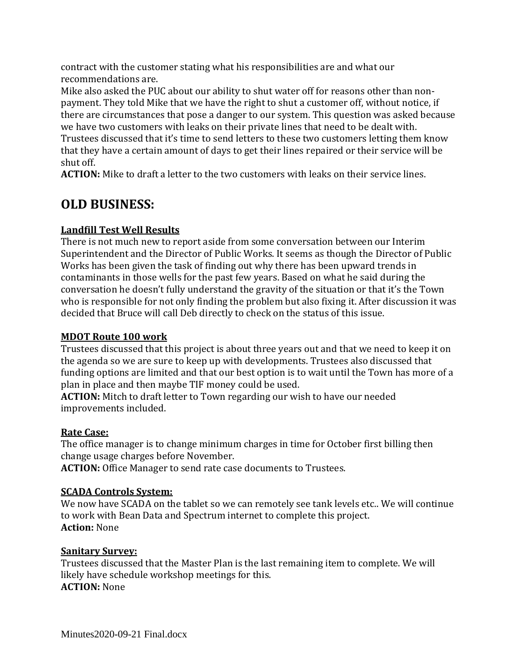contract with the customer stating what his responsibilities are and what our recommendations are.

Mike also asked the PUC about our ability to shut water off for reasons other than nonpayment. They told Mike that we have the right to shut a customer off, without notice, if there are circumstances that pose a danger to our system. This question was asked because we have two customers with leaks on their private lines that need to be dealt with.

Trustees discussed that it's time to send letters to these two customers letting them know that they have a certain amount of days to get their lines repaired or their service will be shut off.

**ACTION:** Mike to draft a letter to the two customers with leaks on their service lines.

# **OLD BUSINESS:**

### **Landfill Test Well Results**

There is not much new to report aside from some conversation between our Interim Superintendent and the Director of Public Works. It seems as though the Director of Public Works has been given the task of finding out why there has been upward trends in contaminants in those wells for the past few years. Based on what he said during the conversation he doesn't fully understand the gravity of the situation or that it's the Town who is responsible for not only finding the problem but also fixing it. After discussion it was decided that Bruce will call Deb directly to check on the status of this issue.

#### **MDOT Route 100 work**

Trustees discussed that this project is about three years out and that we need to keep it on the agenda so we are sure to keep up with developments. Trustees also discussed that funding options are limited and that our best option is to wait until the Town has more of a plan in place and then maybe TIF money could be used.

**ACTION:** Mitch to draft letter to Town regarding our wish to have our needed improvements included.

#### **Rate Case:**

The office manager is to change minimum charges in time for October first billing then change usage charges before November.

**ACTION:** Office Manager to send rate case documents to Trustees.

## **SCADA Controls System:**

We now have SCADA on the tablet so we can remotely see tank levels etc.. We will continue to work with Bean Data and Spectrum internet to complete this project. **Action:** None

## **Sanitary Survey:**

Trustees discussed that the Master Plan is the last remaining item to complete. We will likely have schedule workshop meetings for this. **ACTION:** None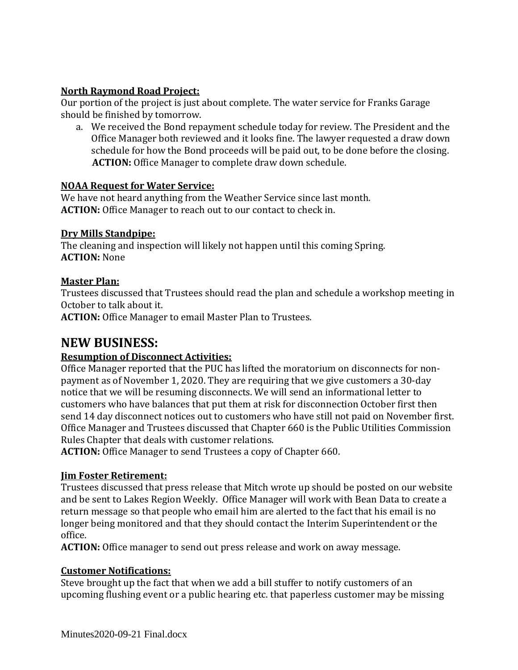#### **North Raymond Road Project:**

Our portion of the project is just about complete. The water service for Franks Garage should be finished by tomorrow.

a. We received the Bond repayment schedule today for review. The President and the Office Manager both reviewed and it looks fine. The lawyer requested a draw down schedule for how the Bond proceeds will be paid out, to be done before the closing.  **ACTION:** Office Manager to complete draw down schedule.

#### **NOAA Request for Water Service:**

We have not heard anything from the Weather Service since last month. **ACTION:** Office Manager to reach out to our contact to check in.

#### **Dry Mills Standpipe:**

The cleaning and inspection will likely not happen until this coming Spring. **ACTION:** None

#### **Master Plan:**

Trustees discussed that Trustees should read the plan and schedule a workshop meeting in October to talk about it.

**ACTION:** Office Manager to email Master Plan to Trustees.

# **NEW BUSINESS:**

#### **Resumption of Disconnect Activities:**

Office Manager reported that the PUC has lifted the moratorium on disconnects for nonpayment as of November 1, 2020. They are requiring that we give customers a 30-day notice that we will be resuming disconnects. We will send an informational letter to customers who have balances that put them at risk for disconnection October first then send 14 day disconnect notices out to customers who have still not paid on November first. Office Manager and Trustees discussed that Chapter 660 is the Public Utilities Commission Rules Chapter that deals with customer relations.

**ACTION:** Office Manager to send Trustees a copy of Chapter 660.

#### **Jim Foster Retirement:**

Trustees discussed that press release that Mitch wrote up should be posted on our website and be sent to Lakes Region Weekly. Office Manager will work with Bean Data to create a return message so that people who email him are alerted to the fact that his email is no longer being monitored and that they should contact the Interim Superintendent or the office.

**ACTION:** Office manager to send out press release and work on away message.

#### **Customer Notifications:**

Steve brought up the fact that when we add a bill stuffer to notify customers of an upcoming flushing event or a public hearing etc. that paperless customer may be missing